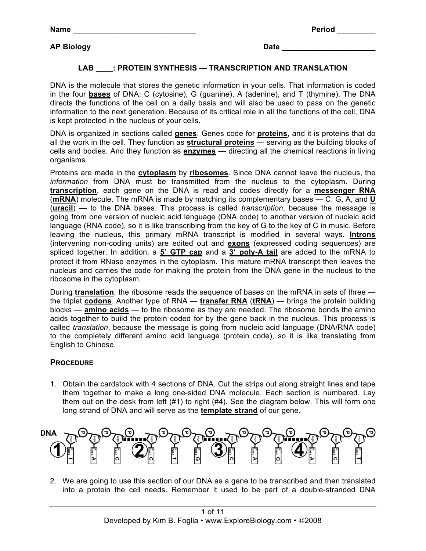**Name \_\_\_\_\_\_\_\_\_\_\_\_\_\_\_\_\_\_\_\_\_\_\_\_\_\_\_\_\_ Period \_\_\_\_\_\_\_\_\_**

### **LAB \_\_\_\_: PROTEIN SYNTHESIS — TRANSCRIPTION AND TRANSLATION**

DNA is the molecule that stores the genetic information in your cells. That information is coded in the four **bases** of DNA: C (cytosine), G (guanine), A (adenine), and T (thymine). The DNA directs the functions of the cell on a daily basis and will also be used to pass on the genetic information to the next generation. Because of its critical role in all the functions of the cell, DNA is kept protected in the nucleus of your cells.

DNA is organized in sections called **genes**. Genes code for **proteins**, and it is proteins that do all the work in the cell. They function as **structural proteins** — serving as the building blocks of cells and bodies. And they function as **enzymes** — directing all the chemical reactions in living organisms.

Proteins are made in the **cytoplasm** by **ribosomes**. Since DNA cannot leave the nucleus, the *information* from DNA must be transmitted from the nucleus to the cytoplasm. During **transcription**, each gene on the DNA is read and codes directly for a **messenger RNA** (**mRNA**) molecule. The mRNA is made by matching its complementary bases — C, G, A, and **U** (**uracil**) — to the DNA bases. This process is called *transcription*, because the message is going from one version of nucleic acid language (DNA code) to another version of nucleic acid language (RNA code), so it is like transcribing from the key of G to the key of C in music. Before leaving the nucleus, this primary mRNA transcript is modified in several ways. **Introns** (intervening non-coding units) are edited out and **exons** (expressed coding sequences) are spliced together. In addition, a **5**" **GTP cap** and a **3**" **poly-A tail** are added to the mRNA to protect it from RNase enzymes in the cytoplasm. This mature mRNA transcript then leaves the nucleus and carries the code for making the protein from the DNA gene in the nucleus to the ribosome in the cytoplasm.

During **translation**, the ribosome reads the sequence of bases on the mRNA in sets of three the triplet **codons**. Another type of RNA — **transfer RNA** (**tRNA**) — brings the protein building blocks — **amino acids** — to the ribosome as they are needed. The ribosome bonds the amino acids together to build the protein coded for by the gene back in the nucleus. This process is called *translation*, because the message is going from nucleic acid language (DNA/RNA code) to the completely different amino acid language (protein code), so it is like translating from English to Chinese.

### **PROCEDURE**

1. Obtain the cardstock with 4 sections of DNA. Cut the strips out along straight lines and tape them together to make a long one-sided DNA molecule. Each section is numbered. Lay them out on the desk from left (#1) to right (#4). See the diagram below. This will form one long strand of DNA and will serve as the **template strand** of our gene.



2. We are going to use this section of our DNA as a gene to be transcribed and then translated into a protein the cell needs. Remember it used to be part of a double-stranded DNA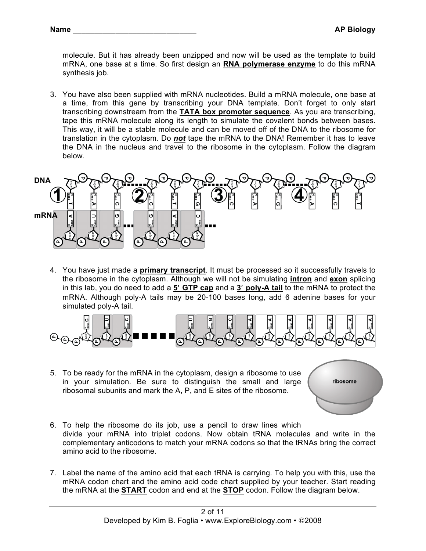molecule. But it has already been unzipped and now will be used as the template to build mRNA, one base at a time. So first design an **RNA polymerase enzyme** to do this mRNA synthesis job.

3. You have also been supplied with mRNA nucleotides. Build a mRNA molecule, one base at a time, from this gene by transcribing your DNA template. Don't forget to only start transcribing downstream from the **TATA box promoter sequence**. As you are transcribing, tape this mRNA molecule along its length to simulate the covalent bonds between bases. This way, it will be a stable molecule and can be moved off of the DNA to the ribosome for translation in the cytoplasm. Do *not* tape the mRNA to the DNA! Remember it has to leave the DNA in the nucleus and travel to the ribosome in the cytoplasm. Follow the diagram below.



4. You have just made a **primary transcript**. It must be processed so it successfully travels to the ribosome in the cytoplasm. Although we will not be simulating **intron** and **exon** splicing in this lab, you do need to add a **5**" **GTP cap** and a **3**" **poly-A tail** to the mRNA to protect the mRNA. Although poly-A tails may be 20-100 bases long, add 6 adenine bases for your simulated poly-A tail.



5. To be ready for the mRNA in the cytoplasm, design a ribosome to use in your simulation. Be sure to distinguish the small and large ribosomal subunits and mark the A, P, and E sites of the ribosome.

ribosome

- 6. To help the ribosome do its job, use a pencil to draw lines which divide your mRNA into triplet codons. Now obtain tRNA molecules and write in the complementary anticodons to match your mRNA codons so that the tRNAs bring the correct amino acid to the ribosome.
- 7. Label the name of the amino acid that each tRNA is carrying. To help you with this, use the mRNA codon chart and the amino acid code chart supplied by your teacher. Start reading the mRNA at the **START** codon and end at the **STOP** codon. Follow the diagram below.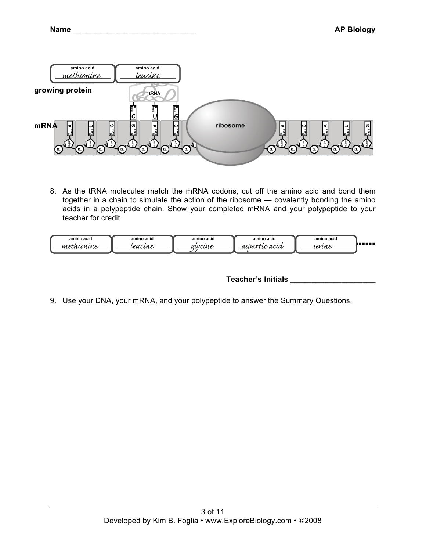

8. As the tRNA molecules match the mRNA codons, cut off the amino acid and bond them together in a chain to simulate the action of the ribosome — covalently bonding the amino acids in a polypeptide chain. Show your completed mRNA and your polypeptide to your teacher for credit.

| amino acid<br>amino acid<br>$\overline{M}$<br><b>n</b><br>' с л | amino acid<br>$\frac{1}{2}$ | amino acid<br>u in | amino acid<br>CA ICI IA | ,,,,,, |
|-----------------------------------------------------------------|-----------------------------|--------------------|-------------------------|--------|
|-----------------------------------------------------------------|-----------------------------|--------------------|-------------------------|--------|

**Teacher's Initials \_\_\_\_\_\_\_\_\_\_\_\_\_\_\_\_\_\_\_\_**

9. Use your DNA, your mRNA, and your polypeptide to answer the Summary Questions.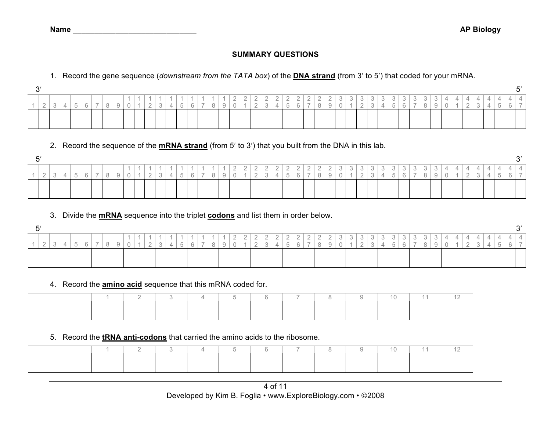### **SUMMARY QUESTIONS**

1. Record the gene sequence (*downstream from the TATA box*) of the **DNA strand** (from 3" to 5") that coded for your mRNA.

| $\bigcap$ |  |                          |                    |  |  |                      |               |                |   |               |         |               |                          |              |                                                     |                                    |                              |                                  |                                 |                       |                        |                                 |                           |               |                                    |                    |                                                       |                           |                           |                             |               |    |               |        |   |  | г' |
|-----------|--|--------------------------|--------------------|--|--|----------------------|---------------|----------------|---|---------------|---------|---------------|--------------------------|--------------|-----------------------------------------------------|------------------------------------|------------------------------|----------------------------------|---------------------------------|-----------------------|------------------------|---------------------------------|---------------------------|---------------|------------------------------------|--------------------|-------------------------------------------------------|---------------------------|---------------------------|-----------------------------|---------------|----|---------------|--------|---|--|----|
|           |  | $\overline{a}$<br>$\sim$ | $\mathcal{L}$<br>◡ |  |  | $\sim$<br>$\sqrt{2}$ | $\rightarrow$ | $\overline{5}$ | 6 | $\rightarrow$ | $\,8\,$ | $\frac{1}{9}$ | $\cap$<br>$\overline{0}$ | $\leftarrow$ | $\cap$ $\cap$ $\cap$<br>$\frac{2}{2}$<br>$\epsilon$ | $\Omega$<br>$\leftarrow$<br>$\sim$ | $\cap$<br>$\frac{2}{4}$<br>4 | $\bigcap$<br>$\overline{a}$<br>C | $\bigcap$<br>$\sim$<br>$\kappa$ | $\cap$<br>$\tilde{z}$ | . n '<br>$\frac{2}{8}$ | $\bigcap$<br>$\sim$<br>$\Omega$ | $\ensuremath{\mathsf{3}}$ | $\frac{3}{4}$ | ົ່າ<br>$\frac{1}{2}$<br>$\sqrt{2}$ | $\frac{3}{3}$<br>◡ | 22<br>$\begin{array}{c c} 3 & 3 \\ 4 & 5 \end{array}$ | $\Omega$<br>$\frac{3}{6}$ | $\Omega$<br>$\frac{1}{2}$ | ີ 2 .<br>$\frac{1}{2}$<br>8 | $\frac{3}{9}$ | 41 | $\Delta$<br>_ | $^{+}$ | ∸ |  |    |
|           |  |                          |                    |  |  |                      |               |                |   |               |         |               |                          |              |                                                     |                                    |                              |                                  |                                 |                       |                        |                                 |                           |               |                                    |                    |                                                       |                           |                           |                             |               |    |               |        |   |  |    |

# 2. Record the sequence of the **mRNA strand** (from 5" to 3") that you built from the DNA in this lab.

|        |  |  |  |  |        |              |             |        |                    |                          |                          |                      |                        |                  |              |                              |                          |              |                        |   |        |                          |                   |                                     |              |               |               |  |   |     |                          |                                                                                                                                                                                                                                      |          |  | $\mathbf{C}$ |
|--------|--|--|--|--|--------|--------------|-------------|--------|--------------------|--------------------------|--------------------------|----------------------|------------------------|------------------|--------------|------------------------------|--------------------------|--------------|------------------------|---|--------|--------------------------|-------------------|-------------------------------------|--------------|---------------|---------------|--|---|-----|--------------------------|--------------------------------------------------------------------------------------------------------------------------------------------------------------------------------------------------------------------------------------|----------|--|--------------|
|        |  |  |  |  |        |              |             |        |                    | $\overline{\phantom{m}}$ | $\overline{\phantom{a}}$ | $\sim$<br>$\sqrt{2}$ | $\sim$<br>$\leftarrow$ | $\sim$<br>$\sim$ | $\sim$<br>÷. | $\sim$<br>$\frac{2}{\alpha}$ | $\leftarrow$             | $\sqrt{2}$   | $\sim$<br>$\leftarrow$ | ◡ | $\cup$ | $\circ$<br>◡             | $\circ$<br>$\cup$ | $\circ$<br>$\overline{\phantom{0}}$ | ◡            | $\Omega$<br>◡ | $\sim$<br>◡   |  | ∸ | . . | $\overline{\phantom{a}}$ | <b>Contract on the Contract of the Contract of the Contract of the Contract of the Contract of the Contract of the Contract of The Contract of The Contract of The Contract of The Contract of The Contract of The Contract of T</b> | <u>_</u> |  |              |
| $\sim$ |  |  |  |  | $\sim$ | $\checkmark$ | $\sim$<br>◡ | $\sim$ | $\Omega$<br>$\cup$ |                          |                          | $\sqrt{2}$           | $\check{ }$            |                  | $\check{ }$  | ◡                            | $\overline{\phantom{a}}$ | $\checkmark$ | $\check{ }$            |   |        | $\overline{\phantom{a}}$ | ◡                 | ∸<br>. .                            | $\checkmark$ |               | $\rightarrow$ |  |   |     | -                        |                                                                                                                                                                                                                                      |          |  |              |
|        |  |  |  |  |        |              |             |        |                    |                          |                          |                      |                        |                  |              |                              |                          |              |                        |   |        |                          |                   |                                     |              |               |               |  |   |     |                          |                                                                                                                                                                                                                                      |          |  |              |

## 3. Divide the **mRNA** sequence into the triplet **codons** and list them in order below.

|                      |                          |              |                          |  |  |  |  |        |  | $\overline{\phantom{m}}$ | $\cap$<br>€ | $\overline{\phantom{0}}$ | - 72<br>$\overline{\phantom{a}}$ | $\sqrt{2}$<br>$\sim$ 1 | $\leftarrow$ | $\bigcap$<br>$\leftarrow$ | $\cap$<br>$\overline{\phantom{a}}$ | $\cap$<br>$\frac{2}{\circ}$ | <u>_</u> |  |  |  |        |  |  |  |  |  |
|----------------------|--------------------------|--------------|--------------------------|--|--|--|--|--------|--|--------------------------|-------------|--------------------------|----------------------------------|------------------------|--------------|---------------------------|------------------------------------|-----------------------------|----------|--|--|--|--------|--|--|--|--|--|
| $\sim$<br>$\sqrt{2}$ | $\overline{\phantom{a}}$ | $\mathbb{R}$ | $\overline{\phantom{a}}$ |  |  |  |  | $\sim$ |  |                          |             |                          |                                  |                        | $\sim$       | $\kappa$                  |                                    |                             |          |  |  |  | $\sim$ |  |  |  |  |  |
|                      |                          |              |                          |  |  |  |  |        |  |                          |             |                          |                                  |                        |              |                           |                                    |                             |          |  |  |  |        |  |  |  |  |  |

### 4. Record the **amino acid** sequence that this mRNA coded for.

### 5. Record the **tRNA anti-codons** that carried the amino acids to the ribosome.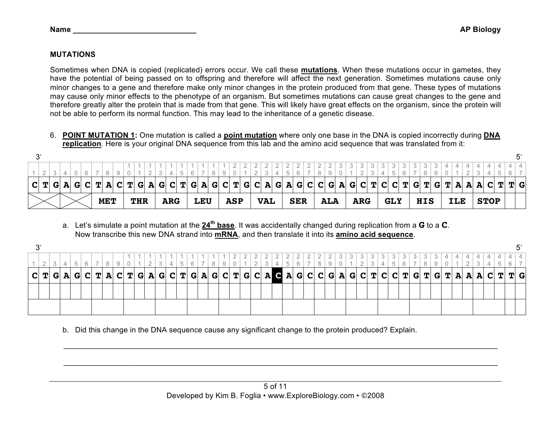### **MUTATIONS**

Sometimes when DNA is copied (replicated) errors occur. We call these **mutations**. When these mutations occur in gametes, they have the potential of being passed on to offspring and therefore will affect the next generation. Sometimes mutations cause only minor changes to a gene and therefore make only minor changes in the protein produced from that gene. These types of mutations may cause only minor effects to the phenotype of an organism. But sometimes mutations can cause great changes to the gene and therefore greatly alter the protein that is made from that gene. This will likely have great effects on the organism, since the protein will not be able to perform its normal function. This may lead to the inheritance of a genetic disease.

6. **POINT MUTATION 1:** One mutation is called a **point mutation** where only one base in the DNA is copied incorrectly during **DNA replication**. Here is your original DNA sequence from this lab and the amino acid sequence that was translated from it:

| $\sim$ |         |  |  |     |            |  |            |  |            |  |     |                                                                                                                                           |            |  |            |  |            |  |            |  |            |  |            |  |            |  |            |  |             |  |  |
|--------|---------|--|--|-----|------------|--|------------|--|------------|--|-----|-------------------------------------------------------------------------------------------------------------------------------------------|------------|--|------------|--|------------|--|------------|--|------------|--|------------|--|------------|--|------------|--|-------------|--|--|
|        |         |  |  |     |            |  |            |  |            |  |     |                                                                                                                                           |            |  |            |  |            |  |            |  |            |  |            |  |            |  |            |  |             |  |  |
|        |         |  |  |     |            |  |            |  |            |  |     |                                                                                                                                           |            |  |            |  |            |  |            |  |            |  |            |  |            |  |            |  |             |  |  |
|        | C T G A |  |  | G C |            |  |            |  |            |  |     | T   A   C   T   G   A   G   C   T   G   A   G   C   T   G   C   A   G   C   C   G   A   G   C   T   G   T   G   T   A   A   C   T   T   G |            |  |            |  |            |  |            |  |            |  |            |  |            |  |            |  |             |  |  |
|        |         |  |  |     | <b>MET</b> |  | <b>THR</b> |  | <b>ARG</b> |  | LEU |                                                                                                                                           | <b>ASP</b> |  | <b>VAL</b> |  | <b>SER</b> |  | <b>ALA</b> |  | <b>ARG</b> |  | <b>GLY</b> |  | <b>HIS</b> |  | <b>ILE</b> |  | <b>STOP</b> |  |  |

a. Let's simulate a point mutation at the **24th base**. It was accidentally changed during replication from a **G** to a **C**. Now transcribe this new DNA strand into **mRNA**, and then translate it into its **amino acid sequence**.

| C T G A G |  | $\mathbf C$ |  | $T$ A $C$ $T$ $G$ A |  |  |  |  |  |  |  |  |  |  |  |  |  |  |  |  |  |  | G  C  T  G  A  G  C  T  G  C  A G  A  G  C  C  G  A  G  C  T  C  C  T  G  T  G  T  A  A  A  C  T  T  G |
|-----------|--|-------------|--|---------------------|--|--|--|--|--|--|--|--|--|--|--|--|--|--|--|--|--|--|--------------------------------------------------------------------------------------------------------|
|           |  |             |  |                     |  |  |  |  |  |  |  |  |  |  |  |  |  |  |  |  |  |  |                                                                                                        |
|           |  |             |  |                     |  |  |  |  |  |  |  |  |  |  |  |  |  |  |  |  |  |  |                                                                                                        |
|           |  |             |  |                     |  |  |  |  |  |  |  |  |  |  |  |  |  |  |  |  |  |  |                                                                                                        |
|           |  |             |  |                     |  |  |  |  |  |  |  |  |  |  |  |  |  |  |  |  |  |  |                                                                                                        |
|           |  |             |  |                     |  |  |  |  |  |  |  |  |  |  |  |  |  |  |  |  |  |  |                                                                                                        |

b. Did this change in the DNA sequence cause any significant change to the protein produced? Explain.

 $\mathcal{L}_\mathcal{L} = \{ \mathcal{L}_\mathcal{L} = \{ \mathcal{L}_\mathcal{L} = \{ \mathcal{L}_\mathcal{L} = \{ \mathcal{L}_\mathcal{L} = \{ \mathcal{L}_\mathcal{L} = \{ \mathcal{L}_\mathcal{L} = \{ \mathcal{L}_\mathcal{L} = \{ \mathcal{L}_\mathcal{L} = \{ \mathcal{L}_\mathcal{L} = \{ \mathcal{L}_\mathcal{L} = \{ \mathcal{L}_\mathcal{L} = \{ \mathcal{L}_\mathcal{L} = \{ \mathcal{L}_\mathcal{L} = \{ \mathcal{L}_\mathcal{$ 

 $\mathcal{L}_\mathcal{L} = \{ \mathcal{L}_\mathcal{L} = \{ \mathcal{L}_\mathcal{L} = \{ \mathcal{L}_\mathcal{L} = \{ \mathcal{L}_\mathcal{L} = \{ \mathcal{L}_\mathcal{L} = \{ \mathcal{L}_\mathcal{L} = \{ \mathcal{L}_\mathcal{L} = \{ \mathcal{L}_\mathcal{L} = \{ \mathcal{L}_\mathcal{L} = \{ \mathcal{L}_\mathcal{L} = \{ \mathcal{L}_\mathcal{L} = \{ \mathcal{L}_\mathcal{L} = \{ \mathcal{L}_\mathcal{L} = \{ \mathcal{L}_\mathcal{$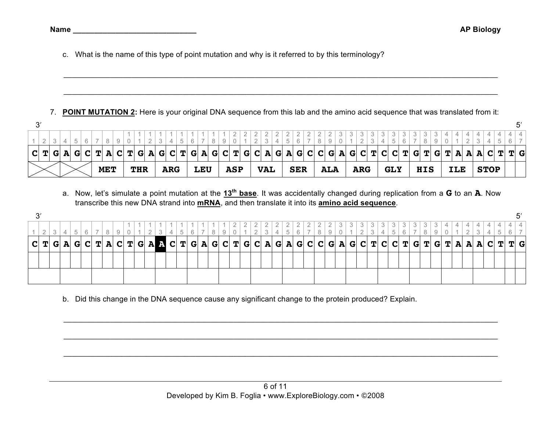c. What is the name of this type of point mutation and why is it referred to by this terminology?

#### 7. **POINT MUTATION 2:** Here is your original DNA sequence from this lab and the amino acid sequence that was translated from it:

 $\mathcal{L}_\mathcal{L} = \{ \mathcal{L}_\mathcal{L} = \{ \mathcal{L}_\mathcal{L} = \{ \mathcal{L}_\mathcal{L} = \{ \mathcal{L}_\mathcal{L} = \{ \mathcal{L}_\mathcal{L} = \{ \mathcal{L}_\mathcal{L} = \{ \mathcal{L}_\mathcal{L} = \{ \mathcal{L}_\mathcal{L} = \{ \mathcal{L}_\mathcal{L} = \{ \mathcal{L}_\mathcal{L} = \{ \mathcal{L}_\mathcal{L} = \{ \mathcal{L}_\mathcal{L} = \{ \mathcal{L}_\mathcal{L} = \{ \mathcal{L}_\mathcal{$ 

 $\mathcal{L}_\mathcal{L} = \{ \mathcal{L}_\mathcal{L} = \{ \mathcal{L}_\mathcal{L} = \{ \mathcal{L}_\mathcal{L} = \{ \mathcal{L}_\mathcal{L} = \{ \mathcal{L}_\mathcal{L} = \{ \mathcal{L}_\mathcal{L} = \{ \mathcal{L}_\mathcal{L} = \{ \mathcal{L}_\mathcal{L} = \{ \mathcal{L}_\mathcal{L} = \{ \mathcal{L}_\mathcal{L} = \{ \mathcal{L}_\mathcal{L} = \{ \mathcal{L}_\mathcal{L} = \{ \mathcal{L}_\mathcal{L} = \{ \mathcal{L}_\mathcal{$ 

a. Now, let's simulate a point mutation at the **13th base**. It was accidentally changed during replication from a **G** to an **A**. Now transcribe this new DNA strand into **mRNA**, and then translate it into its **amino acid sequence**.

| $\mathbf C$ | TI |  |  |  |  |  |  |  |  |  |  |  | G  A  G  C  T  A  C  T  G  A A  C  T  G  A  G  C  T  G  C  A  G  A  G  C  C  G  A  G  C  T  C  C  T  G  T  G  T  A  A  A  C  T |  |  |  |  |  |  |  |  |  |  | T G |  |
|-------------|----|--|--|--|--|--|--|--|--|--|--|--|--------------------------------------------------------------------------------------------------------------------------------|--|--|--|--|--|--|--|--|--|--|-----|--|
|             |    |  |  |  |  |  |  |  |  |  |  |  |                                                                                                                                |  |  |  |  |  |  |  |  |  |  |     |  |
|             |    |  |  |  |  |  |  |  |  |  |  |  |                                                                                                                                |  |  |  |  |  |  |  |  |  |  |     |  |

 $\mathcal{L}_\mathcal{L} = \{ \mathcal{L}_\mathcal{L} = \{ \mathcal{L}_\mathcal{L} = \{ \mathcal{L}_\mathcal{L} = \{ \mathcal{L}_\mathcal{L} = \{ \mathcal{L}_\mathcal{L} = \{ \mathcal{L}_\mathcal{L} = \{ \mathcal{L}_\mathcal{L} = \{ \mathcal{L}_\mathcal{L} = \{ \mathcal{L}_\mathcal{L} = \{ \mathcal{L}_\mathcal{L} = \{ \mathcal{L}_\mathcal{L} = \{ \mathcal{L}_\mathcal{L} = \{ \mathcal{L}_\mathcal{L} = \{ \mathcal{L}_\mathcal{$ 

 $\mathcal{L}_\mathcal{L} = \{ \mathcal{L}_\mathcal{L} = \{ \mathcal{L}_\mathcal{L} = \{ \mathcal{L}_\mathcal{L} = \{ \mathcal{L}_\mathcal{L} = \{ \mathcal{L}_\mathcal{L} = \{ \mathcal{L}_\mathcal{L} = \{ \mathcal{L}_\mathcal{L} = \{ \mathcal{L}_\mathcal{L} = \{ \mathcal{L}_\mathcal{L} = \{ \mathcal{L}_\mathcal{L} = \{ \mathcal{L}_\mathcal{L} = \{ \mathcal{L}_\mathcal{L} = \{ \mathcal{L}_\mathcal{L} = \{ \mathcal{L}_\mathcal{$ 

 $\mathcal{L}_\mathcal{L} = \{ \mathcal{L}_\mathcal{L} = \{ \mathcal{L}_\mathcal{L} = \{ \mathcal{L}_\mathcal{L} = \{ \mathcal{L}_\mathcal{L} = \{ \mathcal{L}_\mathcal{L} = \{ \mathcal{L}_\mathcal{L} = \{ \mathcal{L}_\mathcal{L} = \{ \mathcal{L}_\mathcal{L} = \{ \mathcal{L}_\mathcal{L} = \{ \mathcal{L}_\mathcal{L} = \{ \mathcal{L}_\mathcal{L} = \{ \mathcal{L}_\mathcal{L} = \{ \mathcal{L}_\mathcal{L} = \{ \mathcal{L}_\mathcal{$ 

b. Did this change in the DNA sequence cause any significant change to the protein produced? Explain.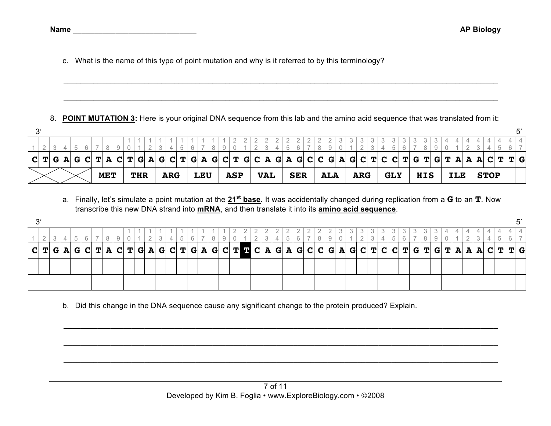c. What is the name of this type of point mutation and why is it referred to by this terminology?

8. **POINT MUTATION 3:** Here is your original DNA sequence from this lab and the amino acid sequence that was translated from it:

 $\mathcal{L}_\mathcal{L} = \{ \mathcal{L}_\mathcal{L} = \{ \mathcal{L}_\mathcal{L} = \{ \mathcal{L}_\mathcal{L} = \{ \mathcal{L}_\mathcal{L} = \{ \mathcal{L}_\mathcal{L} = \{ \mathcal{L}_\mathcal{L} = \{ \mathcal{L}_\mathcal{L} = \{ \mathcal{L}_\mathcal{L} = \{ \mathcal{L}_\mathcal{L} = \{ \mathcal{L}_\mathcal{L} = \{ \mathcal{L}_\mathcal{L} = \{ \mathcal{L}_\mathcal{L} = \{ \mathcal{L}_\mathcal{L} = \{ \mathcal{L}_\mathcal{$ 

 $\mathcal{L}_\mathcal{L} = \{ \mathcal{L}_\mathcal{L} = \{ \mathcal{L}_\mathcal{L} = \{ \mathcal{L}_\mathcal{L} = \{ \mathcal{L}_\mathcal{L} = \{ \mathcal{L}_\mathcal{L} = \{ \mathcal{L}_\mathcal{L} = \{ \mathcal{L}_\mathcal{L} = \{ \mathcal{L}_\mathcal{L} = \{ \mathcal{L}_\mathcal{L} = \{ \mathcal{L}_\mathcal{L} = \{ \mathcal{L}_\mathcal{L} = \{ \mathcal{L}_\mathcal{L} = \{ \mathcal{L}_\mathcal{L} = \{ \mathcal{L}_\mathcal{$ 

|  |  |  |  |  |  |            |  |  |  |            |  |  |            |  | C  T  G  A  G  C  T  A  C  T  G  A  G  C  T  G  A  G  C  T  G  C  A  G  A  G  C  G  A  G  C  T  C  C  T  G  T  G  T  A  A  A  C  T  T  G |     |  |            |  |            |  |            |  |            |  |            |  |            |  |            |  |            |  |             |  |  |
|--|--|--|--|--|--|------------|--|--|--|------------|--|--|------------|--|------------------------------------------------------------------------------------------------------------------------------------------|-----|--|------------|--|------------|--|------------|--|------------|--|------------|--|------------|--|------------|--|------------|--|-------------|--|--|
|  |  |  |  |  |  | <b>MET</b> |  |  |  | <b>THR</b> |  |  | <b>ARG</b> |  |                                                                                                                                          | LEU |  | <b>ASP</b> |  | <b>VAL</b> |  | <b>SER</b> |  | <b>ALA</b> |  | <b>ARG</b> |  | <b>GLY</b> |  | <b>HIS</b> |  | <b>ILE</b> |  | <b>STOP</b> |  |  |

a. Finally, let's simulate a point mutation at the **21st base**. It was accidentally changed during replication from a **G** to an **T**. Now transcribe this new DNA strand into **mRNA**, and then translate it into its **amino acid sequence**.

| $\mathbf C$ | T |  |  |  |  |  |  |  |  |  |  |  |  |  |  |  |  |  |  |  |  |  |  | T G |  |
|-------------|---|--|--|--|--|--|--|--|--|--|--|--|--|--|--|--|--|--|--|--|--|--|--|-----|--|
|             |   |  |  |  |  |  |  |  |  |  |  |  |  |  |  |  |  |  |  |  |  |  |  |     |  |
|             |   |  |  |  |  |  |  |  |  |  |  |  |  |  |  |  |  |  |  |  |  |  |  |     |  |
|             |   |  |  |  |  |  |  |  |  |  |  |  |  |  |  |  |  |  |  |  |  |  |  |     |  |
|             |   |  |  |  |  |  |  |  |  |  |  |  |  |  |  |  |  |  |  |  |  |  |  |     |  |
|             |   |  |  |  |  |  |  |  |  |  |  |  |  |  |  |  |  |  |  |  |  |  |  |     |  |

 $\mathcal{L}_\mathcal{L} = \{ \mathcal{L}_\mathcal{L} = \{ \mathcal{L}_\mathcal{L} = \{ \mathcal{L}_\mathcal{L} = \{ \mathcal{L}_\mathcal{L} = \{ \mathcal{L}_\mathcal{L} = \{ \mathcal{L}_\mathcal{L} = \{ \mathcal{L}_\mathcal{L} = \{ \mathcal{L}_\mathcal{L} = \{ \mathcal{L}_\mathcal{L} = \{ \mathcal{L}_\mathcal{L} = \{ \mathcal{L}_\mathcal{L} = \{ \mathcal{L}_\mathcal{L} = \{ \mathcal{L}_\mathcal{L} = \{ \mathcal{L}_\mathcal{$ 

 $\mathcal{L}_\mathcal{L} = \{ \mathcal{L}_\mathcal{L} = \{ \mathcal{L}_\mathcal{L} = \{ \mathcal{L}_\mathcal{L} = \{ \mathcal{L}_\mathcal{L} = \{ \mathcal{L}_\mathcal{L} = \{ \mathcal{L}_\mathcal{L} = \{ \mathcal{L}_\mathcal{L} = \{ \mathcal{L}_\mathcal{L} = \{ \mathcal{L}_\mathcal{L} = \{ \mathcal{L}_\mathcal{L} = \{ \mathcal{L}_\mathcal{L} = \{ \mathcal{L}_\mathcal{L} = \{ \mathcal{L}_\mathcal{L} = \{ \mathcal{L}_\mathcal{$ 

 $\mathcal{L}_\mathcal{L} = \{ \mathcal{L}_\mathcal{L} = \{ \mathcal{L}_\mathcal{L} = \{ \mathcal{L}_\mathcal{L} = \{ \mathcal{L}_\mathcal{L} = \{ \mathcal{L}_\mathcal{L} = \{ \mathcal{L}_\mathcal{L} = \{ \mathcal{L}_\mathcal{L} = \{ \mathcal{L}_\mathcal{L} = \{ \mathcal{L}_\mathcal{L} = \{ \mathcal{L}_\mathcal{L} = \{ \mathcal{L}_\mathcal{L} = \{ \mathcal{L}_\mathcal{L} = \{ \mathcal{L}_\mathcal{L} = \{ \mathcal{L}_\mathcal{$ 

b. Did this change in the DNA sequence cause any significant change to the protein produced? Explain.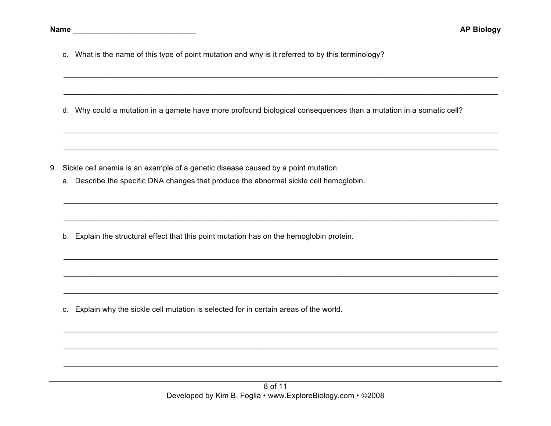c. What is the name of this type of point mutation and why is it referred to by this terminology?

d. Why could a mutation in a gamete have more profound biological consequences than a mutation in a somatic cell?

- 9. Sickle cell anemia is an example of a genetic disease caused by a point mutation.
	- a. Describe the specific DNA changes that produce the abnormal sickle cell hemoglobin.

b. Explain the structural effect that this point mutation has on the hemoglobin protein.

c. Explain why the sickle cell mutation is selected for in certain areas of the world.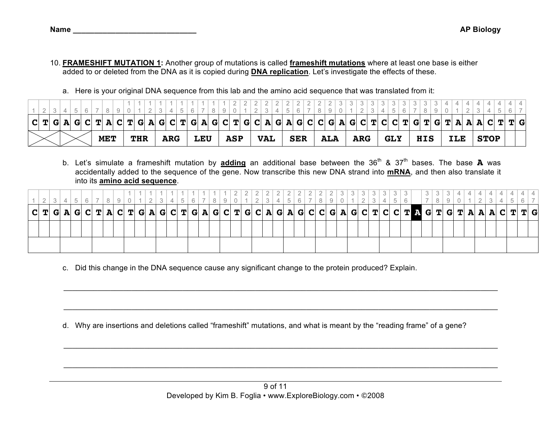- 10. **FRAMESHIFT MUTATION 1:** Another group of mutations is called **frameshift mutations** where at least one base is either added to or deleted from the DNA as it is copied during **DNA replication**. Let's investigate the effects of these.
	- a. Here is your original DNA sequence from this lab and the amino acid sequence that was translated from it:

|  |  |  |            |  |            |  |     | C T G A G C T A C T A C T G A G C T G A G C T G A G C T G C A G A G C C G A G C T C G T C T G T G T G T A A C T T G |     |  |            |  |            |  |            |  |            |  |            |  |            |  |            |  |     |  |             |  |  |
|--|--|--|------------|--|------------|--|-----|---------------------------------------------------------------------------------------------------------------------|-----|--|------------|--|------------|--|------------|--|------------|--|------------|--|------------|--|------------|--|-----|--|-------------|--|--|
|  |  |  | <b>MET</b> |  | <b>THR</b> |  | ARG |                                                                                                                     | LEU |  | <b>ASP</b> |  | <b>VAL</b> |  | <b>SER</b> |  | <b>ALA</b> |  | <b>ARG</b> |  | <b>GLY</b> |  | <b>HIS</b> |  | ILE |  | <b>STOP</b> |  |  |

b. Let's simulate a frameshift mutation by adding an additional base between the 36<sup>th</sup> & 37<sup>th</sup> bases. The base **A** was accidentally added to the sequence of the gene. Now transcribe this new DNA strand into **mRNA**, and then also translate it into its **amino acid sequence**.

|  |  |  |  |  |  |  |  |  |  |  |  |  |  |  |  |  |  |  |  |  |  |  | T G |
|--|--|--|--|--|--|--|--|--|--|--|--|--|--|--|--|--|--|--|--|--|--|--|-----|
|  |  |  |  |  |  |  |  |  |  |  |  |  |  |  |  |  |  |  |  |  |  |  |     |
|  |  |  |  |  |  |  |  |  |  |  |  |  |  |  |  |  |  |  |  |  |  |  |     |

 $\mathcal{L}_\mathcal{L} = \{ \mathcal{L}_\mathcal{L} = \{ \mathcal{L}_\mathcal{L} = \{ \mathcal{L}_\mathcal{L} = \{ \mathcal{L}_\mathcal{L} = \{ \mathcal{L}_\mathcal{L} = \{ \mathcal{L}_\mathcal{L} = \{ \mathcal{L}_\mathcal{L} = \{ \mathcal{L}_\mathcal{L} = \{ \mathcal{L}_\mathcal{L} = \{ \mathcal{L}_\mathcal{L} = \{ \mathcal{L}_\mathcal{L} = \{ \mathcal{L}_\mathcal{L} = \{ \mathcal{L}_\mathcal{L} = \{ \mathcal{L}_\mathcal{$ 

 $\mathcal{L}_\mathcal{L} = \{ \mathcal{L}_\mathcal{L} = \{ \mathcal{L}_\mathcal{L} = \{ \mathcal{L}_\mathcal{L} = \{ \mathcal{L}_\mathcal{L} = \{ \mathcal{L}_\mathcal{L} = \{ \mathcal{L}_\mathcal{L} = \{ \mathcal{L}_\mathcal{L} = \{ \mathcal{L}_\mathcal{L} = \{ \mathcal{L}_\mathcal{L} = \{ \mathcal{L}_\mathcal{L} = \{ \mathcal{L}_\mathcal{L} = \{ \mathcal{L}_\mathcal{L} = \{ \mathcal{L}_\mathcal{L} = \{ \mathcal{L}_\mathcal{$ 

 $\mathcal{L}_\mathcal{L} = \{ \mathcal{L}_\mathcal{L} = \{ \mathcal{L}_\mathcal{L} = \{ \mathcal{L}_\mathcal{L} = \{ \mathcal{L}_\mathcal{L} = \{ \mathcal{L}_\mathcal{L} = \{ \mathcal{L}_\mathcal{L} = \{ \mathcal{L}_\mathcal{L} = \{ \mathcal{L}_\mathcal{L} = \{ \mathcal{L}_\mathcal{L} = \{ \mathcal{L}_\mathcal{L} = \{ \mathcal{L}_\mathcal{L} = \{ \mathcal{L}_\mathcal{L} = \{ \mathcal{L}_\mathcal{L} = \{ \mathcal{L}_\mathcal{$ 

 $\mathcal{L}_\mathcal{L} = \{ \mathcal{L}_\mathcal{L} = \{ \mathcal{L}_\mathcal{L} = \{ \mathcal{L}_\mathcal{L} = \{ \mathcal{L}_\mathcal{L} = \{ \mathcal{L}_\mathcal{L} = \{ \mathcal{L}_\mathcal{L} = \{ \mathcal{L}_\mathcal{L} = \{ \mathcal{L}_\mathcal{L} = \{ \mathcal{L}_\mathcal{L} = \{ \mathcal{L}_\mathcal{L} = \{ \mathcal{L}_\mathcal{L} = \{ \mathcal{L}_\mathcal{L} = \{ \mathcal{L}_\mathcal{L} = \{ \mathcal{L}_\mathcal{$ 

c. Did this change in the DNA sequence cause any significant change to the protein produced? Explain.

d. Why are insertions and deletions called "frameshift" mutations, and what is meant by the "reading frame" of a gene?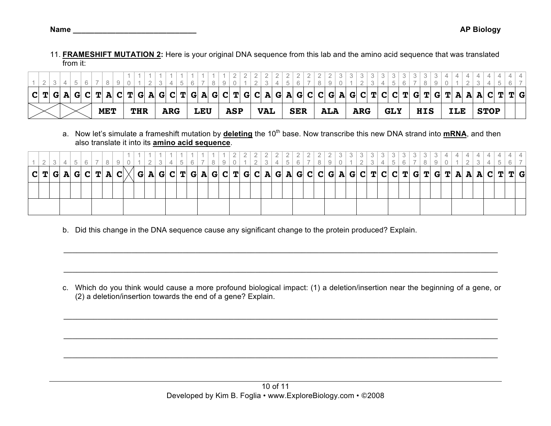- 
- 11. **FRAMESHIFT MUTATION 2:** Here is your original DNA sequence from this lab and the amino acid sequence that was translated from it:

|  |  |  |     |  |            |  |     |  |            |  |            | $C T G A G C T A C T G A G C T G A G C T G C A G A G C C G A G C T C T C T G T G T A A C T $ |            |  |            |  |            |  |            |  |            |  |            |  |            |  |             | T G |  |
|--|--|--|-----|--|------------|--|-----|--|------------|--|------------|----------------------------------------------------------------------------------------------|------------|--|------------|--|------------|--|------------|--|------------|--|------------|--|------------|--|-------------|-----|--|
|  |  |  | MET |  | <b>THR</b> |  | ARG |  | <b>LEU</b> |  | <b>ASP</b> |                                                                                              | <b>VAL</b> |  | <b>SER</b> |  | <b>ALA</b> |  | <b>ARG</b> |  | <b>GLY</b> |  | <b>HIS</b> |  | <b>ILE</b> |  | <b>STOP</b> |     |  |

a. Now let's simulate a frameshift mutation by *deleting* the 10<sup>th</sup> base. Now transcribe this new DNA strand into **mRNA**, and then also translate it into its **amino acid sequence**.

|  |  |  |  |  |  |  |  |  |  |  | G  A  G  C  T  G  A  G  C  T  G  C  A  G  A  G  C  C  G  A  G  C  T  C  C  T  G  T  G  T  A  A  A  C  T  T  G |  |  |  |  |  |  |  |  |  |  |  |  |
|--|--|--|--|--|--|--|--|--|--|--|---------------------------------------------------------------------------------------------------------------|--|--|--|--|--|--|--|--|--|--|--|--|
|  |  |  |  |  |  |  |  |  |  |  |                                                                                                               |  |  |  |  |  |  |  |  |  |  |  |  |
|  |  |  |  |  |  |  |  |  |  |  |                                                                                                               |  |  |  |  |  |  |  |  |  |  |  |  |

b. Did this change in the DNA sequence cause any significant change to the protein produced? Explain.

c. Which do you think would cause a more profound biological impact: (1) a deletion/insertion near the beginning of a gene, or (2) a deletion/insertion towards the end of a gene? Explain.

 $\mathcal{L}_\mathcal{L} = \{ \mathcal{L}_\mathcal{L} = \{ \mathcal{L}_\mathcal{L} = \{ \mathcal{L}_\mathcal{L} = \{ \mathcal{L}_\mathcal{L} = \{ \mathcal{L}_\mathcal{L} = \{ \mathcal{L}_\mathcal{L} = \{ \mathcal{L}_\mathcal{L} = \{ \mathcal{L}_\mathcal{L} = \{ \mathcal{L}_\mathcal{L} = \{ \mathcal{L}_\mathcal{L} = \{ \mathcal{L}_\mathcal{L} = \{ \mathcal{L}_\mathcal{L} = \{ \mathcal{L}_\mathcal{L} = \{ \mathcal{L}_\mathcal{$ 

 $\mathcal{L}_\mathcal{L} = \{ \mathcal{L}_\mathcal{L} = \{ \mathcal{L}_\mathcal{L} = \{ \mathcal{L}_\mathcal{L} = \{ \mathcal{L}_\mathcal{L} = \{ \mathcal{L}_\mathcal{L} = \{ \mathcal{L}_\mathcal{L} = \{ \mathcal{L}_\mathcal{L} = \{ \mathcal{L}_\mathcal{L} = \{ \mathcal{L}_\mathcal{L} = \{ \mathcal{L}_\mathcal{L} = \{ \mathcal{L}_\mathcal{L} = \{ \mathcal{L}_\mathcal{L} = \{ \mathcal{L}_\mathcal{L} = \{ \mathcal{L}_\mathcal{$ 

 $\mathcal{L}_\mathcal{L} = \{ \mathcal{L}_\mathcal{L} = \{ \mathcal{L}_\mathcal{L} = \{ \mathcal{L}_\mathcal{L} = \{ \mathcal{L}_\mathcal{L} = \{ \mathcal{L}_\mathcal{L} = \{ \mathcal{L}_\mathcal{L} = \{ \mathcal{L}_\mathcal{L} = \{ \mathcal{L}_\mathcal{L} = \{ \mathcal{L}_\mathcal{L} = \{ \mathcal{L}_\mathcal{L} = \{ \mathcal{L}_\mathcal{L} = \{ \mathcal{L}_\mathcal{L} = \{ \mathcal{L}_\mathcal{L} = \{ \mathcal{L}_\mathcal{$ 

 $\mathcal{L}_\mathcal{L} = \{ \mathcal{L}_\mathcal{L} = \{ \mathcal{L}_\mathcal{L} = \{ \mathcal{L}_\mathcal{L} = \{ \mathcal{L}_\mathcal{L} = \{ \mathcal{L}_\mathcal{L} = \{ \mathcal{L}_\mathcal{L} = \{ \mathcal{L}_\mathcal{L} = \{ \mathcal{L}_\mathcal{L} = \{ \mathcal{L}_\mathcal{L} = \{ \mathcal{L}_\mathcal{L} = \{ \mathcal{L}_\mathcal{L} = \{ \mathcal{L}_\mathcal{L} = \{ \mathcal{L}_\mathcal{L} = \{ \mathcal{L}_\mathcal{$ 

 $\mathcal{L}_\mathcal{L} = \{ \mathcal{L}_\mathcal{L} = \{ \mathcal{L}_\mathcal{L} = \{ \mathcal{L}_\mathcal{L} = \{ \mathcal{L}_\mathcal{L} = \{ \mathcal{L}_\mathcal{L} = \{ \mathcal{L}_\mathcal{L} = \{ \mathcal{L}_\mathcal{L} = \{ \mathcal{L}_\mathcal{L} = \{ \mathcal{L}_\mathcal{L} = \{ \mathcal{L}_\mathcal{L} = \{ \mathcal{L}_\mathcal{L} = \{ \mathcal{L}_\mathcal{L} = \{ \mathcal{L}_\mathcal{L} = \{ \mathcal{L}_\mathcal{$